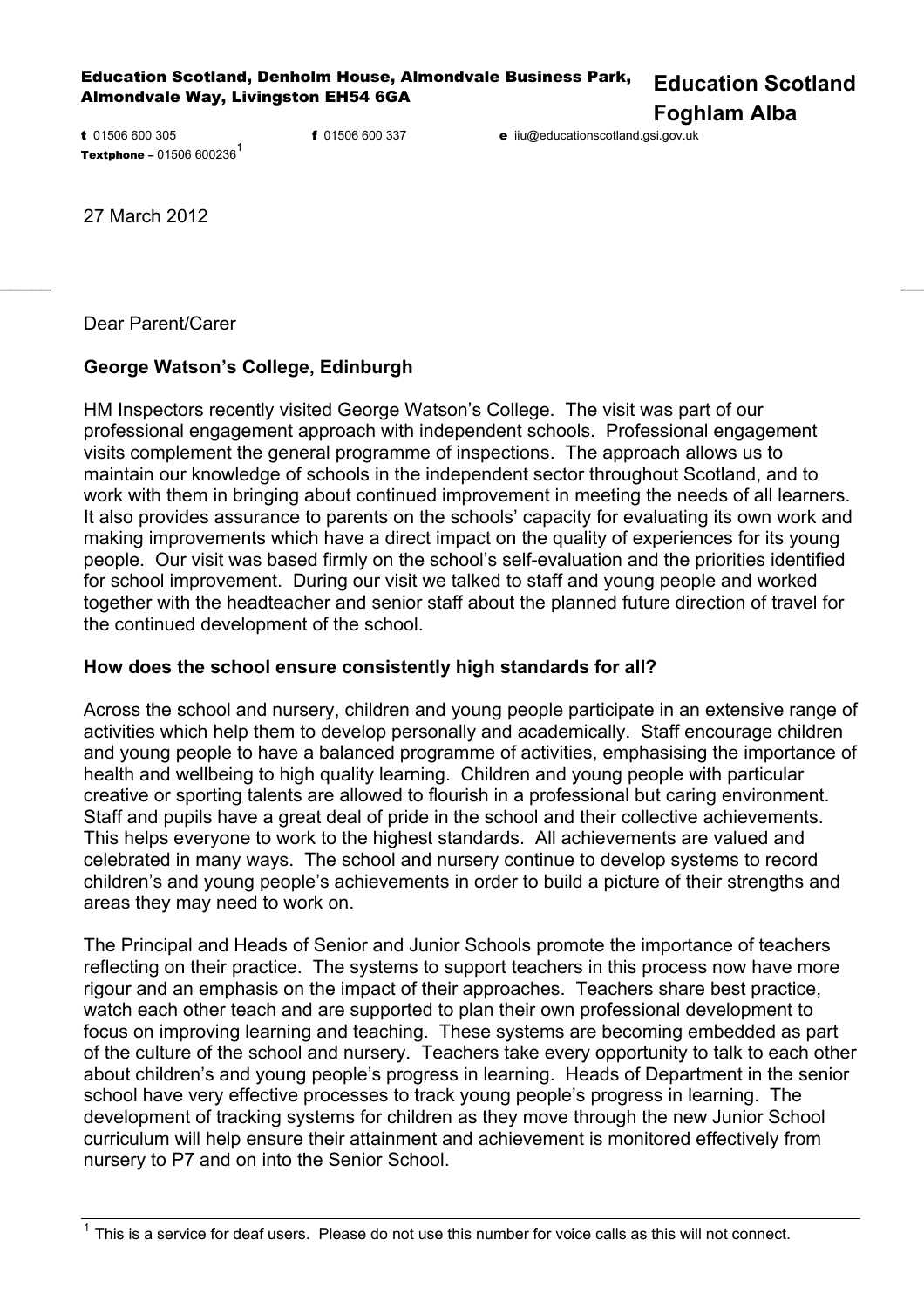Education Scotland, Denholm House, Almondvale Business Park, Almondvale Way, Livingston EH54 6GA **Education Scotland** 

**Foghlam Alba** 

t 01506 600 305 **Textphone** – 01506 600236<sup>1</sup>

f 01506 600 337 e iiu@educationscotland.gsi.gov.uk

27 March 2012

Dear Parent/Carer

## **George Watson's College, Edinburgh**

HM Inspectors recently visited George Watson's College. The visit was part of our professional engagement approach with independent schools. Professional engagement visits complement the general programme of inspections. The approach allows us to maintain our knowledge of schools in the independent sector throughout Scotland, and to work with them in bringing about continued improvement in meeting the needs of all learners. It also provides assurance to parents on the schools' capacity for evaluating its own work and making improvements which have a direct impact on the quality of experiences for its young people. Our visit was based firmly on the school's self-evaluation and the priorities identified for school improvement. During our visit we talked to staff and young people and worked together with the headteacher and senior staff about the planned future direction of travel for the continued development of the school.

 $\frac{1}{2}$  , the contribution of the contribution of the contribution of the contribution of the contribution of the contribution of the contribution of the contribution of the contribution of the contribution of the contr

## **How does the school ensure consistently high standards for all?**

Across the school and nursery, children and young people participate in an extensive range of activities which help them to develop personally and academically. Staff encourage children and young people to have a balanced programme of activities, emphasising the importance of health and wellbeing to high quality learning. Children and young people with particular creative or sporting talents are allowed to flourish in a professional but caring environment. Staff and pupils have a great deal of pride in the school and their collective achievements. This helps everyone to work to the highest standards. All achievements are valued and celebrated in many ways. The school and nursery continue to develop systems to record children's and young people's achievements in order to build a picture of their strengths and areas they may need to work on.

The Principal and Heads of Senior and Junior Schools promote the importance of teachers reflecting on their practice. The systems to support teachers in this process now have more rigour and an emphasis on the impact of their approaches. Teachers share best practice, watch each other teach and are supported to plan their own professional development to focus on improving learning and teaching. These systems are becoming embedded as part of the culture of the school and nursery. Teachers take every opportunity to talk to each other about children's and young people's progress in learning. Heads of Department in the senior school have very effective processes to track young people's progress in learning. The development of tracking systems for children as they move through the new Junior School curriculum will help ensure their attainment and achievement is monitored effectively from nursery to P7 and on into the Senior School.

<sup>1</sup> This is a service for deaf users. Please do not use this number for voice calls as this will not connect.